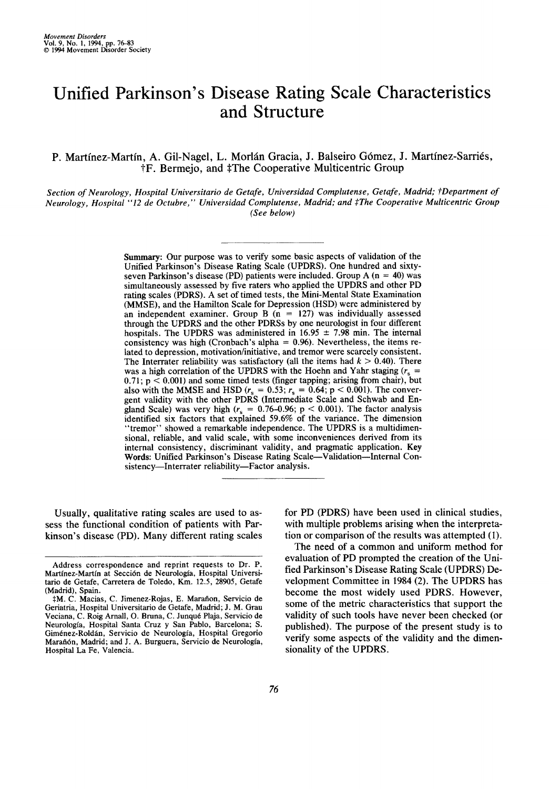# Unified Parkinson's Disease Rating Scale Characteristics and Structure

P. Martínez-Martín, A. Gil-Nagel, L. Morlán Gracia, J. Balseiro Gómez, J. Martínez-Sarriés, **tF.** Bermejo, and **\$The** Cooperative Multicentric Group

*Section of Neurology, Hospital Wniversitario de Ge fafe, Wniversidad Complutense, Geiafe, Madrid; fDeparrment of Neurology, Hospital "12 de Octubre,* " *Universidad Complutense, Madrid; and \$The Cooperative Multicentric Group (See below)* 

> **Summary:** Our purpose was to verify some basic aspects of validation of the Unified Parkinson's Disease Rating Scale (UPDRS). One hundred and sixtyseven Parkinson's disease (PD) patients were included. Group A (n = **40)** was simultaneously assessed by five raters who applied the UPDRS and other PD rating scales (PDRS). A set of timed tests, the Mini-Mental State Examination (MMSE), and the Hamilton Scale for Depression (HSD) were administered by an independent examiner. Group  $B(n = 127)$  was individually assessed through the UPDRS and the other PDRSs by one neurologist in four different hospitals. The UPDRS was administered in  $16.95 \pm 7.98$  min. The internal consistency was high (Cronbach's alpha = **0.96).** Nevertheless, the items related to depression, motivation/initiative, and tremor were scarcely consistent. The Interrater reliability was satisfactory (all the items had  $k > 0.40$ ). There was a high correlation of the UPDRS with the Hoehn and Yahr staging  $(r_s =$ **0.71; p** < **0,001)** and some timed tests (finger tapping; arising from chair), but also with the MMSE and HSD  $(r_s = 0.53; r_s = 0.64; p < 0.001)$ . The convergent validity with the other PDRS (Intermediate Scale and Schwab and England Scale) was very high  $(r_s = 0.76{\text -}0.96; p < 0.001)$ . The factor analysis identified six factors that explained **59.6%** of the variance. The dimension "tremor" showed a remarkable independence. The UPDRS is a multidimensional, reliable, and valid scale, with some inconveniences derived from its internal consistency, discriminant validity, and pragmatic application. Key Words: Unified Parkinson's Disease Rating Scale-Validation-Internal Consistency-Interrater reliability-Factor analysis.

Usually, qualitative rating scales are used to assess the functional condition of patients with Parkinson's disease (PD). Many different rating scales

\_\_

for PD (PDRS) have been used in clinical studies, with multiple problems arising when the interpretation or comparison of the results was attempted (1).

The need of a common and uniform method for evaluation of PD prompted the creation of the Unified Parkinson's Disease Rating Scale **(UPDRS)** Development Committee in **1984** (2). The UPDRS has become the most widely used PDRS. However, some of the metric characteristics that support the validity of such tools have never been checked (or published). The purpose **of** the present study is to verify some aspects of the validity and the dimensionality of the UPDRS.

**Address correspondence and reprint requests** *to* **Dr. P.**  Martínez-Martín at Sección de Neurología, Hospital Universi**tario de Getafe, Carretera de Toledo, Km. 12.5, 28905, Getafe (Madrid), Spain.** 

 $\dagger$ M. C. Macias, C. Jimenez-Rojas, E. Marañon, Servicio de **Geriatria, Universitario de Getafe, Madrid; J. M. Grau Veciana, C. Roig Arnall, 0. Bruna, C. Junque Plaja, Servicio de Neuroiogla, Hospital Santa Cmz Y Sari Pablo, Barcelona;** s. Giménez-Roldán, Servicio de Neurología, Hospital Gregorio **Maraiibn, Madrid; and** J. **A. Burguera, Servicio de Neurologia, Hospital La Fe, Valencia.**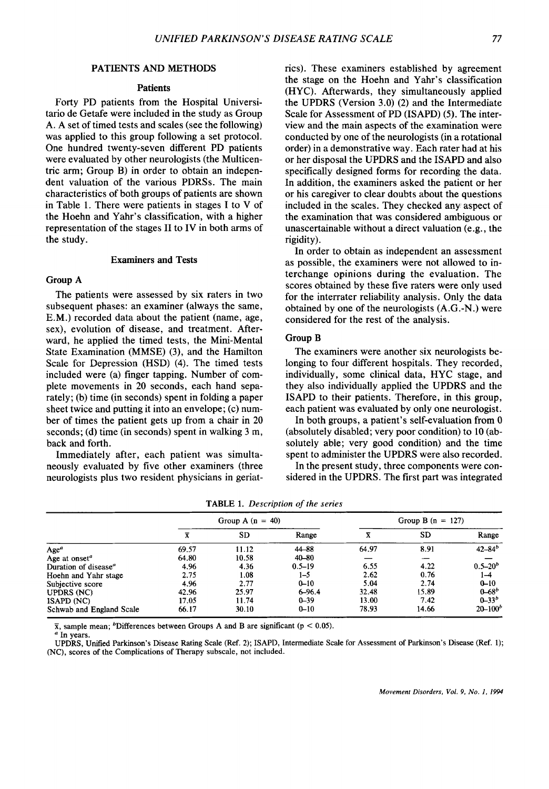#### PATIENTS AND METHODS

# **Patients**

Forty PD patients from the Hospital Universitario de Getafe were included in the study as Group A. A set of timed tests and scales (see the following) was applied to this group following a set protocol. One hundred twenty-seven different PD patients were evaluated by other neurologists (the Multicentric arm; Group B) in order to obtain an independent valuation of the various PDRSs. The main characteristics of both groups of patients are shown in Table 1. There were patients in stages I to V of the Hoehn and Yahr's classification, with a higher representation of the stages I1 to IV in both arms of the study.

#### Examiners **and** Tests

# Group A

The patients were assessed by six raters in two subsequent phases: an examiner (always the same, E.M.) recorded data about the patient (name, age, sex), evolution of disease, and treatment. Afterward, he applied the timed tests, the Mini-Mental State Examination (MMSE) **(3),** and the Hamilton Scale for Depression (HSD) **(4).** The timed tests included were (a) finger tapping. Number of complete movements in 20 seconds, each hand separately; (b) time (in seconds) spent in folding a paper sheet twice and putting it into an envelope; (c) number of times the patient gets up from a chair in 20 seconds; (d) time (in seconds) spent in walking 3 m, back and forth.

Immediately after, each patient was simultaneously evaluated by five other examiners (three neurologists plus two resident physicians in geriatrics). These examiners established by agreement the stage on the Hoehn and Yahr's classification (HYC). Afterwards, they simultaneously applied the UPDRS (Version 3.0) (2) and the Intermediate Scale for Assessment of PD (ISAPD) *(5).* The interview and the main aspects of the examination were conducted by one of the neurologists (in a rotational order) in a demonstrative way. Each rater had at his or her disposal the UPDRS and the ISAPD and also specifically designed forms for recording the data. In addition, the examiners asked the patient or her or his caregiver to clear doubts about the questions included in the scales. They checked any aspect of the examination that was considered ambiguous or unascertainable without a direct valuation (e.g., the rigidity).

In order to obtain as independent an assessment as possible, the examiners were not allowed to interchange opinions during the evaluation. The scores obtained by these five raters were only used for the interrater reliability analysis. Only the data obtained by one of the neurologists (A.G.-N.) were considered for the rest of the analysis.

### Group B

The examiners were another six neurologists belonging to four different hospitals. They recorded, individually, some clinical data, HYC stage, and they also individually applied the UPDRS and the ISAPD to their patients. Therefore, in this group, each patient was evaluated by only one neurologist.

In both groups, a patient's self-evaluation from 0 (absolutely disabled; very poor condition) to 10 (absolutely able; very good condition) and the time spent to administer the UPDRS were also recorded.

In the present study, three components were considered in the UPDRS. The first part was integrated

|                                        | Group A $(n = 40)$ |           |            | Group B $(n = 127)$ |           |               |
|----------------------------------------|--------------------|-----------|------------|---------------------|-----------|---------------|
|                                        |                    | <b>SD</b> | Range      |                     | <b>SD</b> | Range         |
| Age <sup>a</sup>                       | 69.57              | 11.12     | $44 - 88$  | 64.97               | 8.91      | $42 - 84^{b}$ |
| Age at onset <sup><math>a</math></sup> | 64.80              | 10.58     | $40 - 80$  |                     |           |               |
| Duration of disease <sup>a</sup>       | 4.96               | 4.36      | $0.5 - 19$ | 6.55                | 4.22      | $0.5 - 20b$   |
| Hoehn and Yahr stage                   | 2.75               | 1.08      | $1 - 5$    | 2.62                | 0.76      | 1–4           |
| Subjective score                       | 4.96               | 2.77      | $0 - 10$   | 5.04                | 2.74      | $0 - 10$      |
| <b>UPDRS (NC)</b>                      | 42.96              | 25.97     | $6 - 96.4$ | 32.48               | 15.89     | $0 - 68^b$    |
| <b>ISAPD (NC)</b>                      | 17.05              | 11.74     | $0 - 39$   | 13.00               | 7.42      | $0 - 33^b$    |
| Schwab and England Scale               | 66.17              | 30.10     | $0 - 10$   | 78.93               | 14.66     | $20 - 100b$   |

**TABLE 1.** *Description* of *the series* 

**x**, sample mean; <sup>*b*</sup>Differences between Groups A and B are significant (p < 0.05).

*<sup>a</sup>***In years.** 

**UPDRS, Unified Parkinson's Disease Rating Scale (Ref. 2); ISAPD, Intermediate Scale for Assessment of Parkinson's Disease (Ref. 1); (NC), scores of the Complications of Therapy subscale, not included.**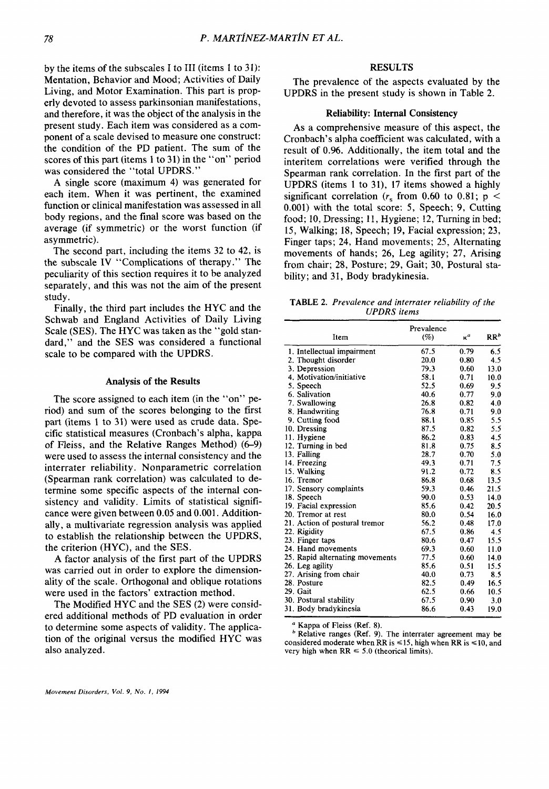by the items of the subscales I to **I11** (items **1** to **3 1):**  Mentation, Behavior and Mood; Activities of Daily Living, and Motor Examination. This part is properly devoted to assess parkinsonian manifestations, and therefore, it was the object of the analysis in the present study. Each item was considered as a component of a scale devised to measure one construct: the condition of the PD patient. The sum of the scores of this part (items **1** to **31)** in the "on" period was considered the "total UPDRS."

A single score (maximum **4)** was generated for each item. When it was pertinent, the examined function **or** clinical manifestation was assessed in all body regions, and the final score was based on the average (if symmetric) **or** the worst function (if asymmetric).

The second part, including the items **32** to **42,** is the subscale IV "Complications of therapy ." The peculiarity of this section requires it to be analyzed separately, and this was not the aim of the present study.

Finally, the third part includes the HYC and the Schwab and England Activities of Daily Living Scale **(SES).** The HYC was taken as the "gold standard," and the **SES** was considered a functional scale to be compared with the UPDRS.

#### **Analysis of the Results**

The score assigned to each item (in the "on" period) and sum **of** the scores belonging to the first part (items **1** to **31)** were used as crude data. Specific statistical measures (Cronbach's alpha, kappa of Fleiss, and the Relative Ranges Method) **(6-9)**  were used to assess the internal consistency and the interrater reliability. Nonparametric correlation (Spearman rank correlation) was calculated to determine some specific aspects of the internal consistency and validity. Limits of statistical significance were given between 0.05 and **0.001.** Additionally, **a** multivariate regression analysis was applied to establish the relationship between the UPDRS, the criterion (HYC), and the **SES.** 

A factor analysis of the first part of the UPDRS was carried out in order to explore the dimensionality of the scale. Orthogonal and oblique rotations were used in the factors' extraction method.

The Modified HYC and the **SES (2)** were considered additional methods of PD evaluation in order to determine some aspects of validity. The application of the original versus the modified HYC was also analyzed.

# **RESULTS**

UPDRS in the present study is shown in Table **2.**  The prevalence of the aspects evaluated by the

# **Reliability: Internal Consistency**

As a comprehensive measure of this aspect, the Cronbach's alpha coefficient was calculated, with a result of **0.96.** Additionally, the item total and the interitem correlations were verified through the Spearman rank correlation. In the first part of the UPDRS (items **1** to **31), 17** items showed a highly significant correlation  $(r_s \text{ from } 0.60 \text{ to } 0.81; \text{ p}$ 0.001) with the total score: **5,** Speech; **9,** Cutting food; **10,** Dressing; 11, Hygiene; **12,** Turning in bed; 15, Walking; **18,** Speech; **19,** Facial expression; **23,**  Finger taps; **24,** Hand movements; **25,** Alternating movements of hands; **26,** Leg agility; **27,** Arising from chair; **28,** Posture; **29,** Gait; **30,** Postural stability; and **31,** Body bradykinesia.

**TABLE** *2. Prevalence and interrater reliability of the UPDRS items*  - ~~~

|                                 | Prevalence |            |        |
|---------------------------------|------------|------------|--------|
| Item                            | (%)        | $\kappa^a$ | $RR^b$ |
| 1. Intellectual impairment      | 67.5       | 0.79       | 6.5    |
| 2. Thought disorder             | 20.0       | 0.80       | 4.5    |
| 3. Depression                   | 79.3       | 0.60       | 13.0   |
| 4. Motivation/initiative        | 58.1       | 0.71       | 10.0   |
| 5. Speech                       | 52.5       | 0.69       | 9.5    |
| 6. Salivation                   | 40.6       | 0.77       | 9.0    |
| 7. Swallowing                   | 26.8       | 0.82       | 4.0    |
| 8. Handwriting                  | 76.8       | 0.71       | 9.0    |
| 9. Cutting food                 | 88.1       | 0.85       | 5.5    |
| 10. Dressing                    | 87.5       | 0.82       | 5.5    |
| 11. Hygiene                     | 86.2       | 0.83       | 4.5    |
| 12. Turning in bed              | 81.8       | 0.75       | 8.5    |
| 13. Falling                     | 28.7       | 0.70       | 5.0    |
| 14. Freezing                    | 49.3       | 0.71       | 7.5    |
| 15. Walking                     | 91.2       | 0.72       | 8.5    |
| 16. Tremor                      | 86.8       | 0.68       | 13.5   |
| 17. Sensory complaints          | 59.3       | 0.46       | 21.5   |
| 18. Speech                      | 90.0       | 0.53       | 14.0   |
| 19. Facial expression           | 85.6       | 0.42       | 20.5   |
| 20. Tremor at rest              | 80.0       | 0.54       | 16.0   |
| 21. Action of postural tremor   | 56.2       | 0.48       | 17.0   |
| 22. Rigidity                    | 67.5       | 0.86       | 4.5    |
| 23. Finger taps                 | 80.6       | 0.47       | 15.5   |
| 24. Hand movements              | 69.3       | 0.60       | 11.0   |
| 25. Rapid alternating movements | 77.5       | 0.60       | 14.0   |
| 26. Leg agility                 | 85.6       | 0.51       | 15.5   |
| 27. Arising from chair          | 40.0       | 0.73       | 8.5    |
| 28. Posture                     | 82.5       | 0.49       | 16.5   |
| 29. Gait                        | 62.5       | 0.66       | 10.5   |
| 30. Postural stability          | 67.5       | 0.90       | 3.0    |
| 31. Body bradykinesia           | 86.6       | 0.43       | 19.0   |

<sup>*I*</sup> Kappa of Fleiss (Ref. 8).

**compared moderate when RR is**  $\leq$  **15, high when RR is**  $\leq$  **10, and considered moderate when RR is**  $\leq$  **15, high when RR is**  $\leq$  **10, and very high when RR**  $\leq$  **5.0 (theorical limits)** very high when  $RR \le 5.0$  (theorical limits). **Relative ranges (Ref. 9). The interrater agreement may be** 

**\_\_\_\_\_\_\_\_\_\_\_\_\_\_\_**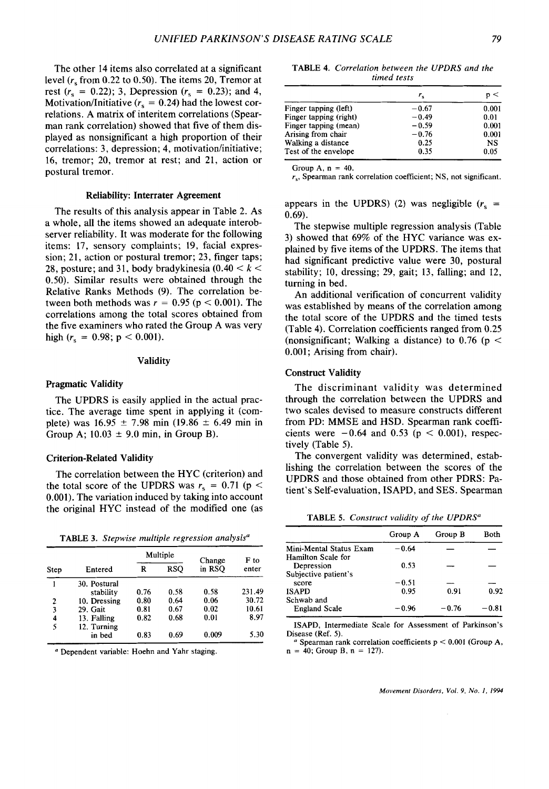The other **14** items also correlated at a significant level *(r,* from **0.22** to 0.50). The items **20,** Tremor at rest  $(r_s = 0.22)$ ; 3, Depression  $(r_s = 0.23)$ ; and 4, Motivation/Initiative  $(r_s = 0.24)$  had the lowest correlations. A matrix of interitem correlations (Spearman rank correlation) showed that five of them displayed as nonsignificant a high proportion of their correlations: **3,** depression; **4,** motivation/initiative; **16,** tremor; **20,** tremor at rest; and **21,** action or postural tremor.

#### Reliability: Interrater Agreement

The results of this analysis appear in Table **2.** As a whole, all the items showed an adequate interobserver reliability. It was moderate for the following items: **17,** sensory complaints; **19,** facial expression; **21,** action or postural tremor; **23,** finger taps; 28, posture; and 31, body bradykinesia  $(0.40 < k <$ 0.50). Similar results were obtained through the Relative Ranks Methods **(9).** The correlation between both methods was  $r = 0.95$  ( $p < 0.001$ ). The correlations among the total scores obtained from the five examiners who rated the Group **A** was very high  $(r_s = 0.98; p < 0.001)$ .

### Validity

### Pragmatic Validity

The UPDRS is easily applied in the actual practice. The average time spent in applying it (complete) was  $16.95 \pm 7.98$  min  $(19.86 \pm 6.49$  min in Group A;  $10.03 \pm 9.0$  min, in Group B).

# Criterion-Related Validity

The correlation between the HYC (criterion) and the total score of the UPDRS was  $r_s = 0.71$  (p < **0.001).** The variation induced by taking into account the original HYC instead of the modified one (as

**TABLE 3.** *Stepwise multiple regression analysis"* 

| Step |              |      | Multiple   | Change | F to<br>enter |
|------|--------------|------|------------|--------|---------------|
|      | Entered      | R    | <b>RSO</b> | in RSO |               |
|      | 30. Postural |      |            |        |               |
|      | stability    | 0.76 | 0.58       | 0.58   | 231.49        |
| 2    | 10. Dressing | 0.80 | 0.64       | 0.06   | 30.72         |
| 3    | 29. Gait     | 0.81 | 0.67       | 0.02   | 10.61         |
| 4    | 13. Falling  | 0.82 | 0.68       | 0.01   | 8.97          |
| 5    | 12. Turning  |      |            |        |               |
|      | in bed       | 0.83 | 0.69       | 0.009  | 5.30          |

*<sup>a</sup>***Dependent variable: Hoehn and Yahr staging.** 

**TABLE 4.** *Correlation between the UPDRS and the timed tests* 

| $r_{\rm c}$ | p <   |
|-------------|-------|
| $-0.67$     | 0.001 |
| $-0.49$     | 0.01  |
| $-0.59$     | 0.001 |
| $-0.76$     | 0.001 |
| 0.25        | NS    |
| 0.35        | 0.05  |
|             |       |

Group  $A$ ,  $n = 40$ .

*rs,* **Spearman rank correlation coefficient; NS, not significant.** 

appears in the UPDRS) (2) was negligible  $(r_s =$ **0.69).** 

The stepwise multiple regression analysis (Table **3)** showed that **69%** of the HYC variance was explained by five items of the UPDRS. The items that had significant predictive value were **30,** postural stability; **10,** dressing; **29,** gait; **13,** falling; and **12,**  turning in bed.

An additional verification of concurrent validity was established by means of the correlation among the total score of the UPDRS and the timed tests (Table **4).** Correlation coefficients ranged from **0.25**  (nonsignificant; Walking a distance) to **0.76** (p < **0.001;** Arising from chair).

#### Construct Validity

The discriminant validity was determined through the correlation between the UPDRS and two scales devised to measure constructs different from PD: MMSE and HSD. Spearman rank coefficients were  $-0.64$  and 0.53 ( $p < 0.001$ ), respectively (Table *5).* 

The convergent validity was determined, establishing the correlation between the scores of the UPDRS and those obtained from other PDRS: Patient's Self-evaluation, ISAPD, and **SES.** Spearman

**TABLE 5.** *Construct validity of the UPDRS"* 

| Group A | Group B         | Both    |
|---------|-----------------|---------|
| $-0.64$ |                 |         |
|         |                 |         |
|         |                 |         |
|         |                 |         |
|         |                 |         |
| 0.95    | 0.91            | 0.92    |
|         |                 |         |
| $-0.96$ | $-0.76$         | $-0.81$ |
|         | 0.53<br>$-0.51$ |         |

**ISAPD, Intermediate Scale for Assessment of Parkinson's Disease (Ref. 5).** 

*<sup>a</sup>***Spearman rank correlation coefficients p** < **0.001 (Group A, n** = **40; Group** B, n = **127).**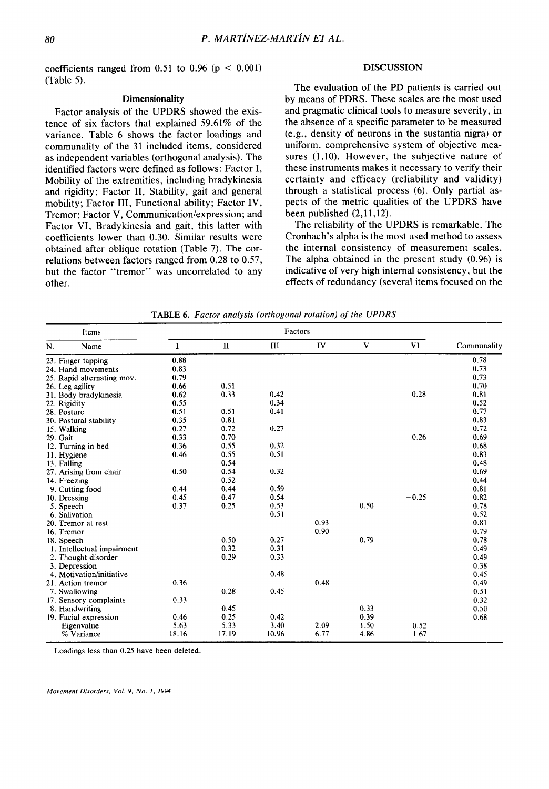coefficients ranged from  $0.51$  to  $0.96$  ( $p < 0.001$ ) (Table *5).* 

#### **Dimensionality**

Factor analysis of the UPDRS showed the existence of six factors that explained 59.61% of the variance. Table 6 shows the factor loadings and communality of the 31 included items, considered as independent variables (orthogonal analysis). The identified factors were defined as follows: Factor I, Mobility of the extremities, including bradykinesia and rigidity; Factor 11, Stability, gait and general mobility; Factor **111,** Functional ability; Factor IV, Tremor; Factor V, Communication/expression; and Factor VI, Bradykinesia and gait, this latter with coefficients lower than 0.30. Similar results were obtained after oblique rotation (Table 7). The correlations between factors ranged from 0.28 to 0.57, but the factor "tremor" was uncorrelated to any other.

# **DISCUSSION**

The evaluation of the PD patients is carried out by means of PDRS. These scales are the most used and pragmatic clinical tools to measure severity, in the absence of a specific parameter to be measured  $(e.g., density of neurons in the sustantia nigra)$  or uniform, comprehensive system of objective measures (1,10). However, the subjective nature of these instruments makes it necessary to verify their certainty and efficacy (reliability and validity) through a statistical process **(6).** Only partial aspects of the metric qualities of the UPDRS have been published (2,11,12).

The reliability of the UPDRS is remarkable. 'The Cronbach's alpha is the most used method to assess the internal consistency of measurement scales. The alpha obtained in the present study (0.96) is indicative of very high internal consistency, but the effects of redundancy (several items focused on the

| <b>Items</b>               |             | Factors      |       |      |      |         |             |
|----------------------------|-------------|--------------|-------|------|------|---------|-------------|
| N.<br>Name                 | $\mathbf I$ | $\mathbf{I}$ | III   | IV   | V    | VI      | Communality |
| 23. Finger tapping         | 0.88        |              |       |      |      |         | 0.78        |
| 24. Hand movements         | 0.83        |              |       |      |      |         | 0.73        |
| 25. Rapid alternating mov. | 0.79        |              |       |      |      |         | 0.73        |
| 26. Leg agility            | 0.66        | 0.51         |       |      |      |         | 0.70        |
| 31. Body bradykinesia      | 0.62        | 0.33         | 0.42  |      |      | 0.28    | 0.81        |
| 22. Rigidity               | 0.55        |              | 0.34  |      |      |         | 0.52        |
| 28. Posture                | 0.51        | 0.51         | 0.41  |      |      |         | 0.77        |
| 30. Postural stability     | 0.35        | 0.81         |       |      |      |         | 0.83        |
| 15. Walking                | 0.27        | 0.72         | 0.27  |      |      |         | 0.72        |
| 29. Gait                   | 0.33        | 0.70         |       |      |      | 0.26    | 0.69        |
| 12. Turning in bed         | 0.36        | 0.55         | 0.32  |      |      |         | 0.68        |
| 11. Hygiene                | 0.46        | 0.55         | 0.51  |      |      |         | 0.83        |
| 13. Falling                |             | 0.54         |       |      |      |         | 0.48        |
| 27. Arising from chair     | 0.50        | 0.54         | 0.32  |      |      |         | 0.69        |
| 14. Freezing               |             | 0.52         |       |      |      |         | 0.44        |
| 9. Cutting food            | 0.44        | 0.44         | 0.59  |      |      |         | 0.81        |
| 10. Dressing               | 0.45        | 0.47         | 0.54  |      |      | $-0.25$ | 0.82        |
| 5. Speech                  | 0.37        | 0.25         | 0.53  |      | 0.50 |         | 0.78        |
| 6. Salivation              |             |              | 0.51  |      |      |         | 0.52        |
| 20. Tremor at rest         |             |              |       | 0.93 |      |         | 0.81        |
| 16. Tremor                 |             |              |       | 0.90 |      |         | 0.79        |
| 18. Speech                 |             | 0.50         | 0.27  |      | 0.79 |         | 0.78        |
| 1. Intellectual impairment |             | 0.32         | 0.31  |      |      |         | 0.49        |
| 2. Thought disorder        |             | 0.29         | 0.33  |      |      |         | 0.49        |
| 3. Depression              |             |              |       |      |      |         | 0.38        |
| 4. Motivation/initiative   |             |              | 0.48  |      |      |         | 0.45        |
| 21. Action tremor          | 0.36        |              |       | 0.48 |      |         | 0.49        |
| 7. Swallowing              |             | 0.28         | 0.45  |      |      |         | 0.51        |
| 17. Sensory complaints     | 0.33        |              |       |      |      |         | 0.32        |
| 8. Handwriting             |             | 0.45         |       |      | 0.33 |         | 0.50        |
| 19. Facial expression      | 0.46        | 0.25         | 0.42  |      | 0.39 |         | 0.68        |
| Eigenvalue                 | 5.63        | 5.33         | 3.40  | 2.09 | 1.50 | 0.52    |             |
| % Variance                 | 18.16       | 17.19        | 10.96 | 6.77 | 4.86 | 1.67    |             |

**TABLE 6.** *Factor analysis (orthogonal rotation)* of *the UPDRS* 

Loadings less than 0.25 have been deleted.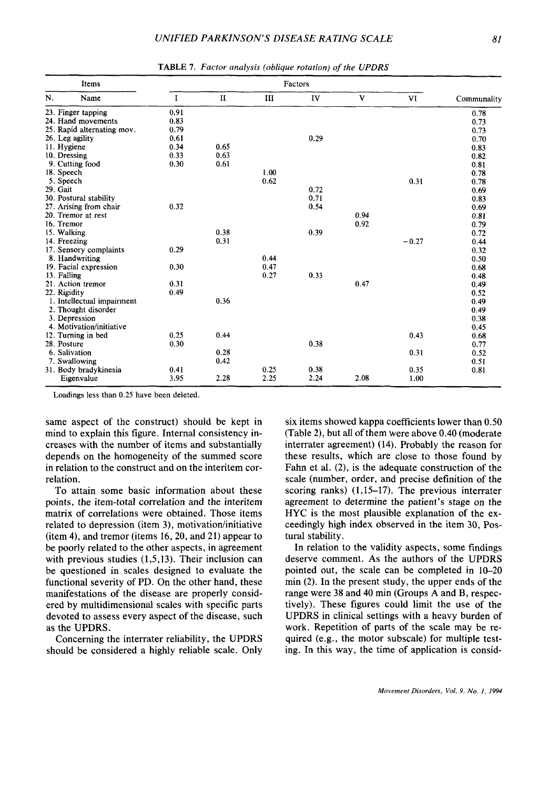| N.<br>V<br>$\bf{I}$<br>$\mathbf{H}$<br>IV<br>VI<br>Name<br>Ш<br>0.91<br>23. Finger tapping<br>24. Hand movements<br>0.83<br>25. Rapid alternating mov.<br>0.79 | Communality |
|----------------------------------------------------------------------------------------------------------------------------------------------------------------|-------------|
|                                                                                                                                                                |             |
|                                                                                                                                                                | 0.78        |
|                                                                                                                                                                | 0.73        |
|                                                                                                                                                                | 0.73        |
| 0.61<br>0.29<br>26. Leg agility                                                                                                                                | 0.70        |
| 11. Hygiene<br>0.34<br>0.65                                                                                                                                    | 0.83        |
| 0.33<br>0.63<br>10. Dressing                                                                                                                                   | 0.82        |
| 0.30<br>0.61<br>9. Cutting food                                                                                                                                | 0.81        |
| 18. Speech<br>1.00                                                                                                                                             | 0.78        |
| 0.62<br>5. Speech<br>0.31                                                                                                                                      | 0.78        |
| 29. Gait<br>0.72                                                                                                                                               | 0.69        |
| 0.71<br>30. Postural stability                                                                                                                                 | 0.83        |
| 0.32<br>0.54<br>27. Arising from chair                                                                                                                         | 0.69        |
| 20. Tremor at rest<br>0.94                                                                                                                                     | 0.81        |
| 16. Tremor<br>0.92                                                                                                                                             | 0.79        |
| 0.38<br>0.39<br>15. Walking                                                                                                                                    | 0.72        |
| 0.31<br>14. Freezing<br>$-0.27$                                                                                                                                | 0.44        |
| 0.29<br>17. Sensory complaints                                                                                                                                 | 0.32        |
| 0.44<br>8. Handwriting                                                                                                                                         | 0.50        |
| 0.47<br>19. Facial expression<br>0.30                                                                                                                          | 0.68        |
| 0.27<br>0.33<br>13. Falling                                                                                                                                    | 0.48        |
| 21. Action tremor<br>0.47<br>0.31                                                                                                                              | 0.49        |
| 0.49<br>22. Rigidity                                                                                                                                           | 0.52        |
| 0.36<br>1. Intellectual impairment                                                                                                                             | 0.49        |
| 2. Thought disorder                                                                                                                                            | 0.49        |
| 3. Depression                                                                                                                                                  | 0.38        |
| 4. Motivation/initiative                                                                                                                                       | 0.45        |
| 0.25<br>0.44<br>0.43<br>12. Turning in bed                                                                                                                     | 0.68        |
| 28. Posture<br>0.30<br>0.38                                                                                                                                    | 0.77        |
| 6. Salivation<br>0.28<br>0.31                                                                                                                                  | 0.52        |
| 0.42<br>7. Swallowing                                                                                                                                          | 0.51        |
| 0.38<br>0.41<br>0.25<br>31. Body bradykinesia<br>0.35                                                                                                          | 0.81        |
| 2.24<br>3.95<br>2.25<br>2.08<br>2.28<br>Eigenvalue<br>1.00                                                                                                     |             |

**TABLE** *I. Factor analysis (oblique rotation) of the UPDRS* 

**Loadings less than 0.25 have been deleted.** 

same aspect **of** the construct) should be kept in mind to explain this figure. Internal consistency increases with the number of items and substantially depends on the homogeneity of the summed score in relation to the construct and on the interitem correlation.

To attain some basic information about these points, the item-total correlation and the interitem matrix of correlations were obtained. Those items related to depression (item 3), motivation/initiative (item **4),** and tremor (items **16,20,** and **21)** appear to be poorly related to the other aspects, in agreement with previous studies **(1,5,13).** Their inclusion can be questioned in scales designed to evaluate the functional severity of **PD.** On the other hand, these manifestations of the disease are properly considered by multidimensional scales with specific parts devoted to assess every aspect of the disease, such as the UPDRS.

Concerning the interrater reliability, the **UPDRS**  should be considered a highly reliable scale. Only

six items showed kappa coefficients lower than 0.50 (Table **2),** but all **of** them were above **0.40** (moderate interrater agreement) **(14).** Probably the reason for these results, which are close to those found by Fahn et al. **(2),** is the adequate construction of the scale (number, order, and precise definition of the scoring ranks) **(1,15-17).** The previous interrater agreement to determine the patient's stage on the **HYC** is the most plausible explanation of the exceedingly high index observed in the item **30,** Postural stability.

In relation to the validity aspects, some findings deserve comment. **As** the authors of the **UPDRS**  pointed out, the scale can be completed in **10-20**  min **(2).** In the present study, the upper ends of the range were **38** and **40** min (Groups **A** and **B,** respectively). These figures could limit the use of the **UPDRS** in clinical settings with a heavy burden of work. Repetition of parts of the scale may be required (e.g., the motor subscale) for multiple testing. In this way, the time **of** application is consid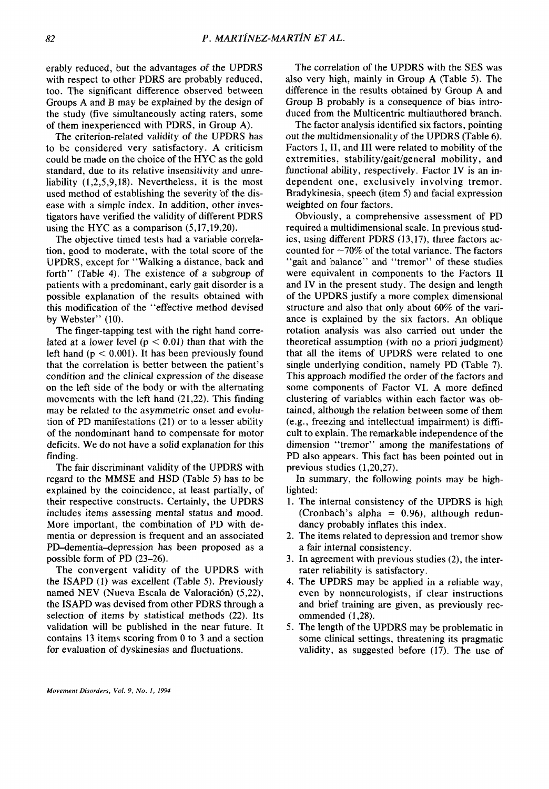erably reduced, but the advantages of the UPDRS with respect to other PDRS are probably reduced, too. The significant difference observed between Groups A and **B** may be explained by the design of the study (five simultaneously acting raters, some of them inexperienced with PDRS, in Group **A).** 

The criterion-related validity of the UPDRS has to be considered very satisfactory. **A** criticism could be made on the choice of the HYC as the gold standard, due to its relative insensitivity and unreliability (1,2,5,9,18). Nevertheless, it is the most used method of establishing the severity of the disease with a simple index. In addition, other investigators have verified the validity of different PDRS using the **HYC** as a comparison (5,17,19,20).

The objective timed tests had a variable correlation, good to moderate, with the total score of the UPDRS, except for "Walking a distance, back and forth" (Table **4).** The existence of a subgroup of patients with a predominant, early gait disorder is a possible explanation of the results obtained with this modification of the "effective method devised by Webster" (10).

The finger-tapping test with the right hand correlated at a lower level ( $p < 0.01$ ) than that with the left hand  $(p < 0.001)$ . It has been previously found that the correlation is better between the patient's condition and the clinical expression **of** the disease on the left side of the body or with the alternating movements with the left hand (21,22). This finding may be related to the asymmetric onset and evolution of PD manifestations (21) or to a lesser ability of the nondominant hand to compensate for motor deficits. We do not have a solid explanation for this finding.

The fair discriminant validity of the UPDRS with regard to the MMSE and HSD (Table *5)* has to be explained by the coincidence, at least partially, of their respective constructs. Certainly, the UPDRS includes items assessing mental status and mood. More important, the combination of PD with dementia or depression is frequent and an associated PD-dementia-depression has been proposed as a possible form of PD (23-26).

The convergent validity of the UPDRS with the ISAPD (I) was excellent (Table *5).* Previously named NEV (Nueva Escala de Valoración) (5,22), the ISAPD was devised from other PDRS through a selection of items by statistical methods (22). Its validation will be published in the near future. It contains 13 items scoring from 0 to 3 and a section for evaluation of dyskinesias and fluctuations.

The correlation of the UPDRS with the **SES** was also very high, mainly in Group **A** (Table *5).* The difference in the results obtained by Group A and Group B probably is a consequence of bias introduced from the Multicentric multiauthored branch.

The factor analysis identified six factors, pointing out the multidmensionality of the UPDRS (Table **6).**  Factors I, **11,** and I11 were related to mobility of the extremities, stability/gait/general mobility, and functional ability, respectively. Factor IV is an independent one, exclusively involving tremor. Bradykinesia, speech (item *5)* and facial expression weighted on four factors.

Obviously, a comprehensive assessment of PD required a multidimensional scale. In previous studies, using different PDRS (13,17), three factors accounted for  $\sim$ 70% of the total variance. The factors 'gait and balance'' and "tremor" of these studies were equivalent in components to the Factors I1 and IV in the present study. The design and length of the UPDRS justify a more complex dimensional structure and also that only about **60%** of the variance is explained by the six factors. An oblique rotation analysis was also carried out under the theoretical assumption (with no a priori judgment) that all the items of UPDRS were related to one single underlying condition, namely PD (Table 7). This approach modified the order of the factors and some components **of** Factor VI. **A** more defined clustering of variables within each factor was obtained, although the relation between some of them (e.g., freezing and intellectual impairment) is Qifficult to explain. The remarkable independence of the dimension "tremor" among the manifestations of PD also appears. This fact has been pointed out in previous studies (1,20,27).

In summary, the following points may be highlighted:

- **1.** The internal consistency of the UPDRS is high (Cronbach's alpha =  $0.96$ ), although redundancy probably inflates this index.
- 2. The items related to depression and tremor show a fair internal consistency.
- **3.** In agreement with previous studies (2), the interrater reliability is satisfactory.
- **4.** The UPDRS may be applied in a reliable way, even by nonneurologists, if clear instructions and brief training are given, as previously recommended (1,28).
- *5.* The length of the UPDRS may be problematic in some clinical settings, threatening its pragmatic validity, as suggested before (17). The use of